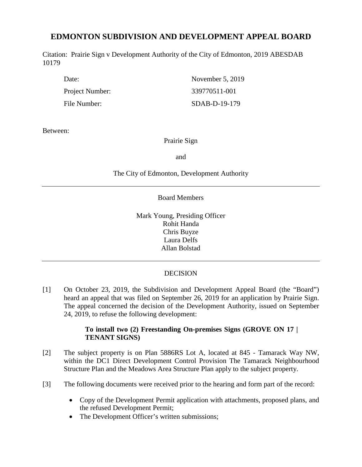# **EDMONTON SUBDIVISION AND DEVELOPMENT APPEAL BOARD**

Citation: Prairie Sign v Development Authority of the City of Edmonton, 2019 ABESDAB 10179

Project Number: 339770511-001 File Number: SDAB-D-19-179

Date: November 5, 2019

Between:

# Prairie Sign

and

The City of Edmonton, Development Authority

### Board Members

Mark Young, Presiding Officer Rohit Handa Chris Buyze Laura Delfs Allan Bolstad

# **DECISION**

[1] On October 23, 2019, the Subdivision and Development Appeal Board (the "Board") heard an appeal that was filed on September 26, 2019 for an application by Prairie Sign. The appeal concerned the decision of the Development Authority, issued on September 24, 2019, to refuse the following development:

### **To install two (2) Freestanding On-premises Signs (GROVE ON 17 | TENANT SIGNS)**

- [2] The subject property is on Plan 5886RS Lot A, located at 845 Tamarack Way NW, within the DC1 Direct Development Control Provision The Tamarack Neighbourhood Structure Plan and the Meadows Area Structure Plan apply to the subject property.
- [3] The following documents were received prior to the hearing and form part of the record:
	- Copy of the Development Permit application with attachments, proposed plans, and the refused Development Permit;
	- The Development Officer's written submissions;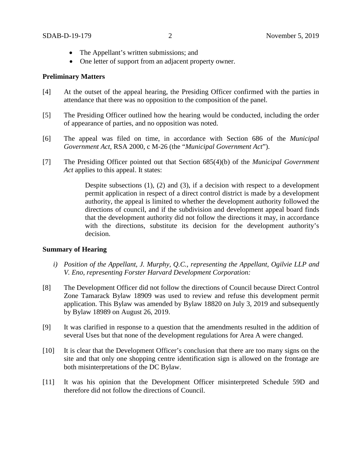- The Appellant's written submissions; and
- One letter of support from an adjacent property owner.

#### **Preliminary Matters**

- [4] At the outset of the appeal hearing, the Presiding Officer confirmed with the parties in attendance that there was no opposition to the composition of the panel.
- [5] The Presiding Officer outlined how the hearing would be conducted, including the order of appearance of parties, and no opposition was noted.
- [6] The appeal was filed on time, in accordance with Section 686 of the *Municipal Government Act*, RSA 2000, c M-26 (the "*Municipal Government Act*").
- [7] The Presiding Officer pointed out that Section 685(4)(b) of the *Municipal Government Act* applies to this appeal. It states:

Despite subsections (1), (2) and (3), if a decision with respect to a development permit application in respect of a direct control district is made by a development authority, the appeal is limited to whether the development authority followed the directions of council, and if the subdivision and development appeal board finds that the development authority did not follow the directions it may, in accordance with the directions, substitute its decision for the development authority's decision.

#### **Summary of Hearing**

- *i) Position of the Appellant, J. Murphy, Q.C., representing the Appellant, Ogilvie LLP and V. Eno, representing Forster Harvard Development Corporation:*
- [8] The Development Officer did not follow the directions of Council because Direct Control Zone Tamarack Bylaw 18909 was used to review and refuse this development permit application. This Bylaw was amended by Bylaw 18820 on July 3, 2019 and subsequently by Bylaw 18989 on August 26, 2019.
- [9] It was clarified in response to a question that the amendments resulted in the addition of several Uses but that none of the development regulations for Area A were changed.
- [10] It is clear that the Development Officer's conclusion that there are too many signs on the site and that only one shopping centre identification sign is allowed on the frontage are both misinterpretations of the DC Bylaw.
- [11] It was his opinion that the Development Officer misinterpreted Schedule 59D and therefore did not follow the directions of Council.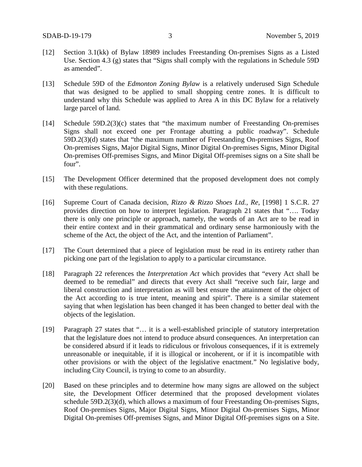- [12] Section 3.1(kk) of Bylaw 18989 includes Freestanding On-premises Signs as a Listed Use. Section 4.3 (g) states that "Signs shall comply with the regulations in Schedule 59D as amended".
- [13] Schedule 59D of the *Edmonton Zoning Bylaw* is a relatively underused Sign Schedule that was designed to be applied to small shopping centre zones. It is difficult to understand why this Schedule was applied to Area A in this DC Bylaw for a relatively large parcel of land.
- [14] Schedule 59D.2(3)(c) states that "the maximum number of Freestanding On-premises Signs shall not exceed one per Frontage abutting a public roadway". Schedule 59D.2(3)(d) states that "the maximum number of Freestanding On-premises Signs, Roof On-premises Signs, Major Digital Signs, Minor Digital On-premises Signs, Minor Digital On-premises Off-premises Signs, and Minor Digital Off-premises signs on a Site shall be four".
- [15] The Development Officer determined that the proposed development does not comply with these regulations.
- [16] Supreme Court of Canada decision, *Rizzo & Rizzo Shoes Ltd., Re*, [1998] 1 S.C.R. 27 provides direction on how to interpret legislation. Paragraph 21 states that "…. Today there is only one principle or approach, namely, the words of an Act are to be read in their entire context and in their grammatical and ordinary sense harmoniously with the scheme of the Act, the object of the Act, and the intention of Parliament".
- [17] The Court determined that a piece of legislation must be read in its entirety rather than picking one part of the legislation to apply to a particular circumstance.
- [18] Paragraph 22 references the *Interpretation Act* which provides that "every Act shall be deemed to be remedial" and directs that every Act shall "receive such fair, large and liberal construction and interpretation as will best ensure the attainment of the object of the Act according to is true intent, meaning and spirit". There is a similar statement saying that when legislation has been changed it has been changed to better deal with the objects of the legislation.
- [19] Paragraph 27 states that "... it is a well-established principle of statutory interpretation that the legislature does not intend to produce absurd consequences. An interpretation can be considered absurd if it leads to ridiculous or frivolous consequences, if it is extremely unreasonable or inequitable, if it is illogical or incoherent, or if it is incompatible with other provisions or with the object of the legislative enactment." No legislative body, including City Council, is trying to come to an absurdity.
- [20] Based on these principles and to determine how many signs are allowed on the subject site, the Development Officer determined that the proposed development violates schedule 59D.2(3)(d), which allows a maximum of four Freestanding On-premises Signs, Roof On-premises Signs, Major Digital Signs, Minor Digital On-premises Signs, Minor Digital On-premises Off-premises Signs, and Minor Digital Off-premises signs on a Site.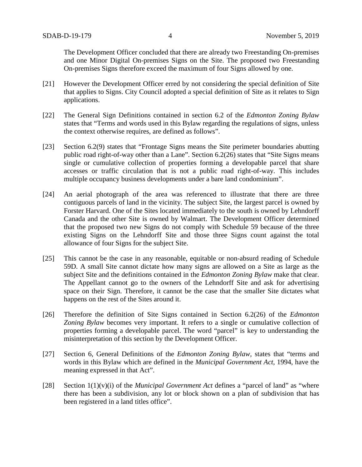The Development Officer concluded that there are already two Freestanding On-premises and one Minor Digital On-premises Signs on the Site. The proposed two Freestanding On-premises Signs therefore exceed the maximum of four Signs allowed by one.

- [21] However the Development Officer erred by not considering the special definition of Site that applies to Signs. City Council adopted a special definition of Site as it relates to Sign applications.
- [22] The General Sign Definitions contained in section 6.2 of the *Edmonton Zoning Bylaw* states that "Terms and words used in this Bylaw regarding the regulations of signs, unless the context otherwise requires, are defined as follows".
- [23] Section 6.2(9) states that "Frontage Signs means the Site perimeter boundaries abutting public road right-of-way other than a Lane". Section 6.2(26) states that "Site Signs means single or cumulative collection of properties forming a developable parcel that share accesses or traffic circulation that is not a public road right-of-way. This includes multiple occupancy business developments under a bare land condominium".
- [24] An aerial photograph of the area was referenced to illustrate that there are three contiguous parcels of land in the vicinity. The subject Site, the largest parcel is owned by Forster Harvard. One of the Sites located immediately to the south is owned by Lehndorff Canada and the other Site is owned by Walmart. The Development Officer determined that the proposed two new Signs do not comply with Schedule 59 because of the three existing Signs on the Lehndorff Site and those three Signs count against the total allowance of four Signs for the subject Site.
- [25] This cannot be the case in any reasonable, equitable or non-absurd reading of Schedule 59D. A small Site cannot dictate how many signs are allowed on a Site as large as the subject Site and the definitions contained in the *Edmonton Zoning Bylaw* make that clear. The Appellant cannot go to the owners of the Lehndorff Site and ask for advertising space on their Sign. Therefore, it cannot be the case that the smaller Site dictates what happens on the rest of the Sites around it.
- [26] Therefore the definition of Site Signs contained in Section 6.2(26) of the *Edmonton Zoning Bylaw* becomes very important. It refers to a single or cumulative collection of properties forming a developable parcel. The word "parcel" is key to understanding the misinterpretation of this section by the Development Officer.
- [27] Section 6, General Definitions of the *Edmonton Zoning Bylaw,* states that "terms and words in this Bylaw which are defined in the *Municipal Government Act*, 1994, have the meaning expressed in that Act".
- [28] Section 1(1)(v)(i) of the *Municipal Government Act* defines a "parcel of land" as "where there has been a subdivision, any lot or block shown on a plan of subdivision that has been registered in a land titles office".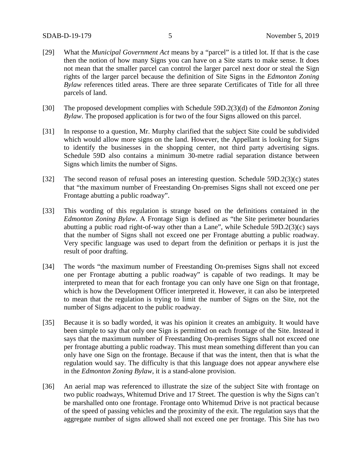- [29] What the *Municipal Government Act* means by a "parcel" is a titled lot. If that is the case then the notion of how many Signs you can have on a Site starts to make sense. It does not mean that the smaller parcel can control the larger parcel next door or steal the Sign rights of the larger parcel because the definition of Site Signs in the *Edmonton Zoning Bylaw* references titled areas. There are three separate Certificates of Title for all three parcels of land.
- [30] The proposed development complies with Schedule 59D.2(3)(d) of the *Edmonton Zoning Bylaw*. The proposed application is for two of the four Signs allowed on this parcel.
- [31] In response to a question, Mr. Murphy clarified that the subject Site could be subdivided which would allow more signs on the land. However, the Appellant is looking for Signs to identify the businesses in the shopping center, not third party advertising signs. Schedule 59D also contains a minimum 30-metre radial separation distance between Signs which limits the number of Signs.
- [32] The second reason of refusal poses an interesting question. Schedule 59D.2(3)(c) states that "the maximum number of Freestanding On-premises Signs shall not exceed one per Frontage abutting a public roadway".
- [33] This wording of this regulation is strange based on the definitions contained in the *Edmonton Zoning Bylaw*. A Frontage Sign is defined as "the Site perimeter boundaries abutting a public road right-of-way other than a Lane", while Schedule 59D.2(3)(c) says that the number of Signs shall not exceed one per Frontage abutting a public roadway. Very specific language was used to depart from the definition or perhaps it is just the result of poor drafting.
- [34] The words "the maximum number of Freestanding On-premises Signs shall not exceed one per Frontage abutting a public roadway" is capable of two readings. It may be interpreted to mean that for each frontage you can only have one Sign on that frontage, which is how the Development Officer interpreted it. However, it can also be interpreted to mean that the regulation is trying to limit the number of Signs on the Site, not the number of Signs adjacent to the public roadway.
- [35] Because it is so badly worded, it was his opinion it creates an ambiguity. It would have been simple to say that only one Sign is permitted on each frontage of the Site. Instead it says that the maximum number of Freestanding On-premises Signs shall not exceed one per frontage abutting a public roadway. This must mean something different than you can only have one Sign on the frontage. Because if that was the intent, then that is what the regulation would say. The difficulty is that this language does not appear anywhere else in the *Edmonton Zoning Bylaw*, it is a stand-alone provision.
- [36] An aerial map was referenced to illustrate the size of the subject Site with frontage on two public roadways, Whitemud Drive and 17 Street. The question is why the Signs can't be marshalled onto one frontage. Frontage onto Whitemud Drive is not practical because of the speed of passing vehicles and the proximity of the exit. The regulation says that the aggregate number of signs allowed shall not exceed one per frontage. This Site has two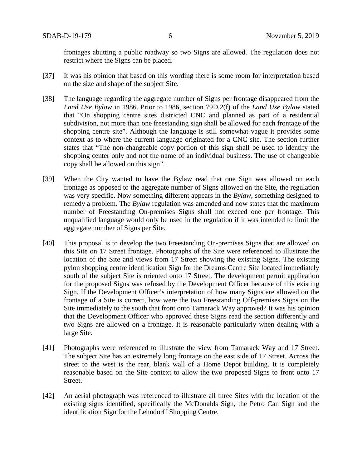frontages abutting a public roadway so two Signs are allowed. The regulation does not restrict where the Signs can be placed.

- [37] It was his opinion that based on this wording there is some room for interpretation based on the size and shape of the subject Site.
- [38] The language regarding the aggregate number of Signs per frontage disappeared from the *Land Use Bylaw* in 1986. Prior to 1986, section 79D.2(f) of the *Land Use Bylaw* stated that "On shopping centre sites districted CNC and planned as part of a residential subdivision, not more than one freestanding sign shall be allowed for each frontage of the shopping centre site". Although the language is still somewhat vague it provides some context as to where the current language originated for a CNC site. The section further states that "The non-changeable copy portion of this sign shall be used to identify the shopping center only and not the name of an individual business. The use of changeable copy shall be allowed on this sign".
- [39] When the City wanted to have the Bylaw read that one Sign was allowed on each frontage as opposed to the aggregate number of Signs allowed on the Site, the regulation was very specific. Now something different appears in the *Bylaw*, something designed to remedy a problem. The *Bylaw* regulation was amended and now states that the maximum number of Freestanding On-premises Signs shall not exceed one per frontage. This unqualified language would only be used in the regulation if it was intended to limit the aggregate number of Signs per Site.
- [40] This proposal is to develop the two Freestanding On-premises Signs that are allowed on this Site on 17 Street frontage. Photographs of the Site were referenced to illustrate the location of the Site and views from 17 Street showing the existing Signs. The existing pylon shopping centre identification Sign for the Dreams Centre Site located immediately south of the subject Site is oriented onto 17 Street. The development permit application for the proposed Signs was refused by the Development Officer because of this existing Sign. If the Development Officer's interpretation of how many Signs are allowed on the frontage of a Site is correct, how were the two Freestanding Off-premises Signs on the Site immediately to the south that front onto Tamarack Way approved? It was his opinion that the Development Officer who approved these Signs read the section differently and two Signs are allowed on a frontage. It is reasonable particularly when dealing with a large Site.
- [41] Photographs were referenced to illustrate the view from Tamarack Way and 17 Street. The subject Site has an extremely long frontage on the east side of 17 Street. Across the street to the west is the rear, blank wall of a Home Depot building. It is completely reasonable based on the Site context to allow the two proposed Signs to front onto 17 Street.
- [42] An aerial photograph was referenced to illustrate all three Sites with the location of the existing signs identified, specifically the McDonalds Sign, the Petro Can Sign and the identification Sign for the Lehndorff Shopping Centre.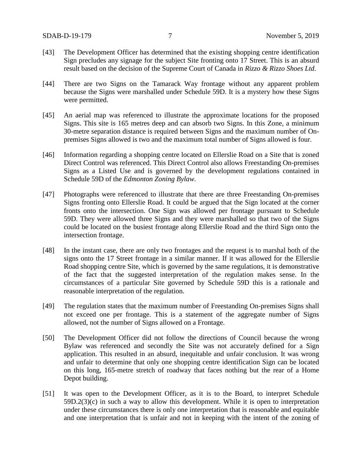- [43] The Development Officer has determined that the existing shopping centre identification Sign precludes any signage for the subject Site fronting onto 17 Street. This is an absurd result based on the decision of the Supreme Court of Canada in *Rizzo & Rizzo Shoes Ltd.*
- [44] There are two Signs on the Tamarack Way frontage without any apparent problem because the Signs were marshalled under Schedule 59D. It is a mystery how these Signs were permitted.
- [45] An aerial map was referenced to illustrate the approximate locations for the proposed Signs. This site is 165 metres deep and can absorb two Signs. In this Zone, a minimum 30-metre separation distance is required between Signs and the maximum number of Onpremises Signs allowed is two and the maximum total number of Signs allowed is four.
- [46] Information regarding a shopping centre located on Ellerslie Road on a Site that is zoned Direct Control was referenced. This Direct Control also allows Freestanding On-premises Signs as a Listed Use and is governed by the development regulations contained in Schedule 59D of the *Edmonton Zoning Bylaw*.
- [47] Photographs were referenced to illustrate that there are three Freestanding On-premises Signs fronting onto Ellerslie Road. It could be argued that the Sign located at the corner fronts onto the intersection. One Sign was allowed per frontage pursuant to Schedule 59D. They were allowed three Signs and they were marshalled so that two of the Signs could be located on the busiest frontage along Ellerslie Road and the third Sign onto the intersection frontage.
- [48] In the instant case, there are only two frontages and the request is to marshal both of the signs onto the 17 Street frontage in a similar manner. If it was allowed for the Ellerslie Road shopping centre Site, which is governed by the same regulations, it is demonstrative of the fact that the suggested interpretation of the regulation makes sense. In the circumstances of a particular Site governed by Schedule 59D this is a rationale and reasonable interpretation of the regulation.
- [49] The regulation states that the maximum number of Freestanding On-premises Signs shall not exceed one per frontage. This is a statement of the aggregate number of Signs allowed, not the number of Signs allowed on a Frontage.
- [50] The Development Officer did not follow the directions of Council because the wrong Bylaw was referenced and secondly the Site was not accurately defined for a Sign application. This resulted in an absurd, inequitable and unfair conclusion. It was wrong and unfair to determine that only one shopping centre identification Sign can be located on this long, 165-metre stretch of roadway that faces nothing but the rear of a Home Depot building.
- [51] It was open to the Development Officer, as it is to the Board, to interpret Schedule 59D.2(3)(c) in such a way to allow this development. While it is open to interpretation under these circumstances there is only one interpretation that is reasonable and equitable and one interpretation that is unfair and not in keeping with the intent of the zoning of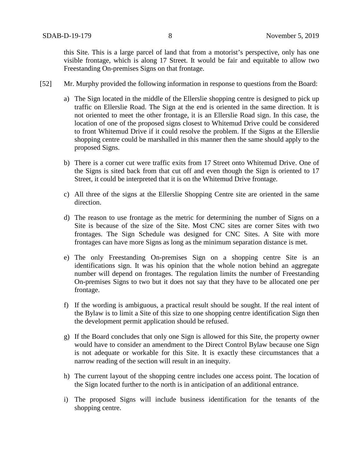this Site. This is a large parcel of land that from a motorist's perspective, only has one visible frontage, which is along 17 Street. It would be fair and equitable to allow two Freestanding On-premises Signs on that frontage.

- [52] Mr. Murphy provided the following information in response to questions from the Board:
	- a) The Sign located in the middle of the Ellerslie shopping centre is designed to pick up traffic on Ellerslie Road. The Sign at the end is oriented in the same direction. It is not oriented to meet the other frontage, it is an Ellerslie Road sign. In this case, the location of one of the proposed signs closest to Whitemud Drive could be considered to front Whitemud Drive if it could resolve the problem. If the Signs at the Ellerslie shopping centre could be marshalled in this manner then the same should apply to the proposed Signs.
	- b) There is a corner cut were traffic exits from 17 Street onto Whitemud Drive. One of the Signs is sited back from that cut off and even though the Sign is oriented to 17 Street, it could be interpreted that it is on the Whitemud Drive frontage.
	- c) All three of the signs at the Ellerslie Shopping Centre site are oriented in the same direction.
	- d) The reason to use frontage as the metric for determining the number of Signs on a Site is because of the size of the Site. Most CNC sites are corner Sites with two frontages. The Sign Schedule was designed for CNC Sites. A Site with more frontages can have more Signs as long as the minimum separation distance is met.
	- e) The only Freestanding On-premises Sign on a shopping centre Site is an identifications sign. It was his opinion that the whole notion behind an aggregate number will depend on frontages. The regulation limits the number of Freestanding On-premises Signs to two but it does not say that they have to be allocated one per frontage.
	- f) If the wording is ambiguous, a practical result should be sought. If the real intent of the Bylaw is to limit a Site of this size to one shopping centre identification Sign then the development permit application should be refused.
	- g) If the Board concludes that only one Sign is allowed for this Site, the property owner would have to consider an amendment to the Direct Control Bylaw because one Sign is not adequate or workable for this Site. It is exactly these circumstances that a narrow reading of the section will result in an inequity.
	- h) The current layout of the shopping centre includes one access point. The location of the Sign located further to the north is in anticipation of an additional entrance.
	- i) The proposed Signs will include business identification for the tenants of the shopping centre.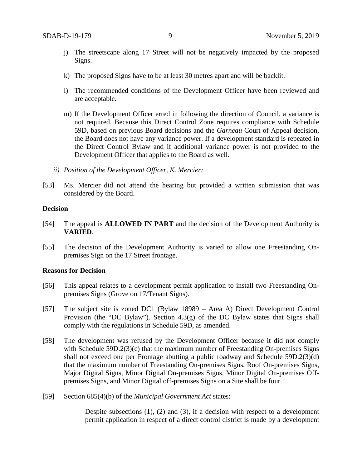- j) The streetscape along 17 Street will not be negatively impacted by the proposed Signs.
- k) The proposed Signs have to be at least 30 metres apart and will be backlit.
- l) The recommended conditions of the Development Officer have been reviewed and are acceptable.
- m) If the Development Officer erred in following the direction of Council, a variance is not required. Because this Direct Control Zone requires compliance with Schedule 59D, based on previous Board decisions and the *Garneau* Court of Appeal decision, the Board does not have any variance power. If a development standard is repeated in the Direct Control Bylaw and if additional variance power is not provided to the Development Officer that applies to the Board as well.
- *ii) Position of the Development Officer, K. Mercier:*
- [53] Ms. Mercier did not attend the hearing but provided a written submission that was considered by the Board.

#### **Decision**

- [54] The appeal is **ALLOWED IN PART** and the decision of the Development Authority is **VARIED**.
- [55] The decision of the Development Authority is varied to allow one Freestanding Onpremises Sign on the 17 Street frontage.

#### **Reasons for Decision**

- [56] This appeal relates to a development permit application to install two Freestanding Onpremises Signs (Grove on 17/Tenant Signs).
- [57] The subject site is zoned DC1 (Bylaw 18989 Area A) Direct Development Control Provision (the "DC Bylaw"). Section 4.3(g) of the DC Bylaw states that Signs shall comply with the regulations in Schedule 59D, as amended.
- [58] The development was refused by the Development Officer because it did not comply with Schedule 59D.2(3)(c) that the maximum number of Freestanding On-premises Signs shall not exceed one per Frontage abutting a public roadway and Schedule 59D.2(3)(d) that the maximum number of Freestanding On-premises Signs, Roof On-premises Signs, Major Digital Signs, Minor Digital On-premises Signs, Minor Digital On-premises Offpremises Signs, and Minor Digital off-premises Signs on a Site shall be four.
- [59] Section 685(4)(b) of the *Municipal Government Act* states:

Despite subsections (1), (2) and (3), if a decision with respect to a development permit application in respect of a direct control district is made by a development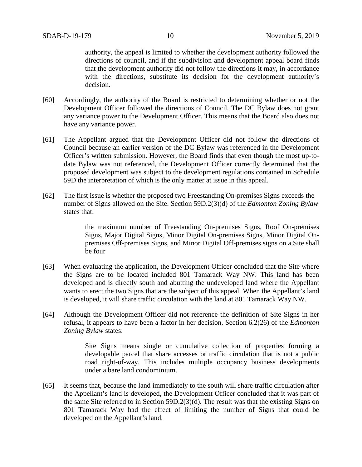authority, the appeal is limited to whether the development authority followed the directions of council, and if the subdivision and development appeal board finds that the development authority did not follow the directions it may, in accordance with the directions, substitute its decision for the development authority's decision.

- [60] Accordingly, the authority of the Board is restricted to determining whether or not the Development Officer followed the directions of Council. The DC Bylaw does not grant any variance power to the Development Officer. This means that the Board also does not have any variance power.
- [61] The Appellant argued that the Development Officer did not follow the directions of Council because an earlier version of the DC Bylaw was referenced in the Development Officer's written submission. However, the Board finds that even though the most up-todate Bylaw was not referenced, the Development Officer correctly determined that the proposed development was subject to the development regulations contained in Schedule 59D the interpretation of which is the only matter at issue in this appeal.
- [62] The first issue is whether the proposed two Freestanding On-premises Signs exceeds the number of Signs allowed on the Site. Section 59D.2(3)(d) of the *Edmonton Zoning Bylaw* states that:

the maximum number of Freestanding On-premises Signs, Roof On-premises Signs, Major Digital Signs, Minor Digital On-premises Signs, Minor Digital Onpremises Off-premises Signs, and Minor Digital Off-premises signs on a Site shall be four

- [63] When evaluating the application, the Development Officer concluded that the Site where the Signs are to be located included 801 Tamarack Way NW. This land has been developed and is directly south and abutting the undeveloped land where the Appellant wants to erect the two Signs that are the subject of this appeal. When the Appellant's land is developed, it will share traffic circulation with the land at 801 Tamarack Way NW.
- [64] Although the Development Officer did not reference the definition of Site Signs in her refusal, it appears to have been a factor in her decision. Section 6.2(26) of the *Edmonton Zoning Bylaw* states:

Site Signs means single or cumulative collection of properties forming a developable parcel that share accesses or traffic circulation that is not a public road right-of-way. This includes multiple occupancy business developments under a bare land condominium.

[65] It seems that, because the land immediately to the south will share traffic circulation after the Appellant's land is developed, the Development Officer concluded that it was part of the same Site referred to in Section 59D.2(3)(d). The result was that the existing Signs on 801 Tamarack Way had the effect of limiting the number of Signs that could be developed on the Appellant's land.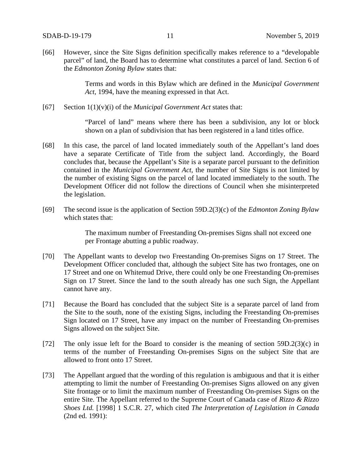[66] However, since the Site Signs definition specifically makes reference to a "developable parcel" of land, the Board has to determine what constitutes a parcel of land. Section 6 of the *Edmonton Zoning Bylaw* states that:

> Terms and words in this Bylaw which are defined in the *Municipal Government Act*, 1994, have the meaning expressed in that Act.

[67] Section 1(1)(v)(i) of the *Municipal Government Act* states that:

"Parcel of land" means where there has been a subdivision, any lot or block shown on a plan of subdivision that has been registered in a land titles office.

- [68] In this case, the parcel of land located immediately south of the Appellant's land does have a separate Certificate of Title from the subject land. Accordingly, the Board concludes that, because the Appellant's Site is a separate parcel pursuant to the definition contained in the *Municipal Government Act*, the number of Site Signs is not limited by the number of existing Signs on the parcel of land located immediately to the south. The Development Officer did not follow the directions of Council when she misinterpreted the legislation.
- [69] The second issue is the application of Section 59D.2(3)(c) of the *Edmonton Zoning Bylaw* which states that:

The maximum number of Freestanding On-premises Signs shall not exceed one per Frontage abutting a public roadway.

- [70] The Appellant wants to develop two Freestanding On-premises Signs on 17 Street. The Development Officer concluded that, although the subject Site has two frontages, one on 17 Street and one on Whitemud Drive, there could only be one Freestanding On-premises Sign on 17 Street. Since the land to the south already has one such Sign, the Appellant cannot have any.
- [71] Because the Board has concluded that the subject Site is a separate parcel of land from the Site to the south, none of the existing Signs, including the Freestanding On-premises Sign located on 17 Street, have any impact on the number of Freestanding On-premises Signs allowed on the subject Site.
- [72] The only issue left for the Board to consider is the meaning of section 59D.2(3)(c) in terms of the number of Freestanding On-premises Signs on the subject Site that are allowed to front onto 17 Street.
- [73] The Appellant argued that the wording of this regulation is ambiguous and that it is either attempting to limit the number of Freestanding On-premises Signs allowed on any given Site frontage or to limit the maximum number of Freestanding On-premises Signs on the entire Site. The Appellant referred to the Supreme Court of Canada case of *Rizzo & Rizzo Shoes Ltd.* [1998] 1 S.C.R. 27, which cited *The Interpretation of Legislation in Canada*  (2nd ed. 1991):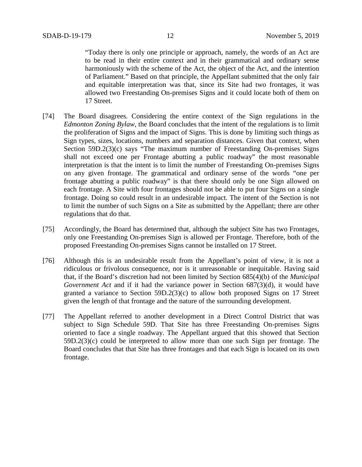"Today there is only one principle or approach, namely, the words of an Act are to be read in their entire context and in their grammatical and ordinary sense harmoniously with the scheme of the Act, the object of the Act, and the intention of Parliament." Based on that principle, the Appellant submitted that the only fair and equitable interpretation was that, since its Site had two frontages, it was allowed two Freestanding On-premises Signs and it could locate both of them on 17 Street.

- [74] The Board disagrees. Considering the entire context of the Sign regulations in the *Edmonton Zoning Bylaw*, the Board concludes that the intent of the regulations is to limit the proliferation of Signs and the impact of Signs. This is done by limiting such things as Sign types, sizes, locations, numbers and separation distances. Given that context, when Section 59D.2(3)(c) says "The maximum number of Freestanding On-premises Signs shall not exceed one per Frontage abutting a public roadway" the most reasonable interpretation is that the intent is to limit the number of Freestanding On-premises Signs on any given frontage. The grammatical and ordinary sense of the words "one per frontage abutting a public roadway" is that there should only be one Sign allowed on each frontage. A Site with four frontages should not be able to put four Signs on a single frontage. Doing so could result in an undesirable impact. The intent of the Section is not to limit the number of such Signs on a Site as submitted by the Appellant; there are other regulations that do that.
- [75] Accordingly, the Board has determined that, although the subject Site has two Frontages, only one Freestanding On-premises Sign is allowed per Frontage. Therefore, both of the proposed Freestanding On-premises Signs cannot be installed on 17 Street.
- [76] Although this is an undesirable result from the Appellant's point of view, it is not a ridiculous or frivolous consequence, nor is it unreasonable or inequitable. Having said that, if the Board's discretion had not been limited by Section 685(4)(b) of the *Municipal Government Act* and if it had the variance power in Section 687(3)(d), it would have granted a variance to Section 59D.2(3)(c) to allow both proposed Signs on 17 Street given the length of that frontage and the nature of the surrounding development.
- [77] The Appellant referred to another development in a Direct Control District that was subject to Sign Schedule 59D. That Site has three Freestanding On-premises Signs oriented to face a single roadway. The Appellant argued that this showed that Section 59D.2(3)(c) could be interpreted to allow more than one such Sign per frontage. The Board concludes that that Site has three frontages and that each Sign is located on its own frontage.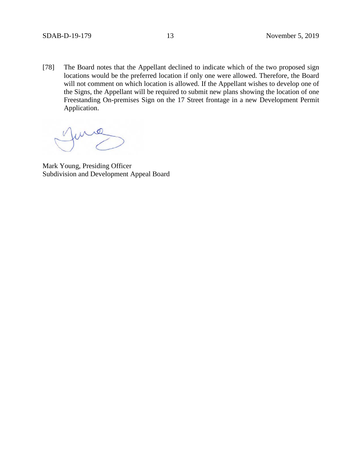[78] The Board notes that the Appellant declined to indicate which of the two proposed sign locations would be the preferred location if only one were allowed. Therefore, the Board will not comment on which location is allowed. If the Appellant wishes to develop one of the Signs, the Appellant will be required to submit new plans showing the location of one Freestanding On-premises Sign on the 17 Street frontage in a new Development Permit Application.

Mark Young, Presiding Officer Subdivision and Development Appeal Board